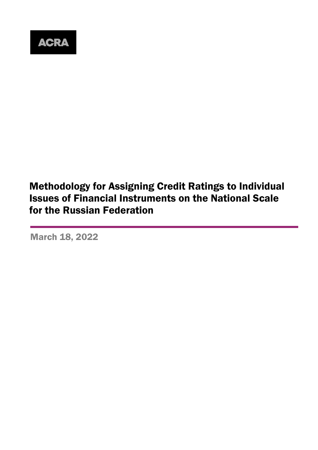

# Methodology for Assigning Credit Ratings to Individual Issues of Financial Instruments on the National Scale for the Russian Federation

March 18, 2022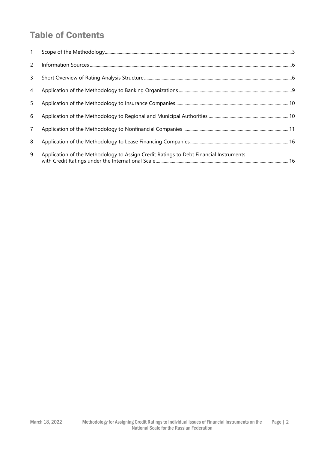# Table of Contents

| 1              |                                                                                       |
|----------------|---------------------------------------------------------------------------------------|
| 2              |                                                                                       |
| 3              |                                                                                       |
| 4              |                                                                                       |
| 5              |                                                                                       |
| 6              |                                                                                       |
| $\overline{7}$ |                                                                                       |
| 8              |                                                                                       |
| 9              | Application of the Methodology to Assign Credit Ratings to Debt Financial Instruments |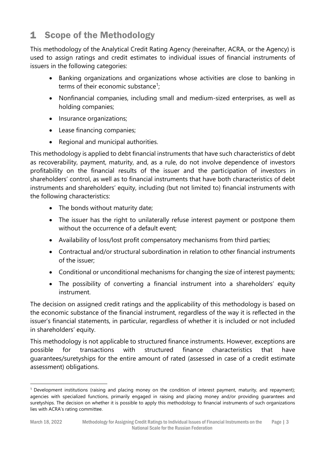# <span id="page-2-0"></span>1 Scope of the Methodology

This methodology of the Analytical Credit Rating Agency (hereinafter, ACRA, or the Agency) is used to assign ratings and credit estimates to individual issues of financial instruments of issuers in the following categories:

- Banking organizations and organizations whose activities are close to banking in terms of their economic substance<sup>1</sup>;
- Nonfinancial companies, including small and medium-sized enterprises, as well as holding companies;
- Insurance organizations;
- Lease financing companies;
- Regional and municipal authorities.

This methodology is applied to debt financial instruments that have such characteristics of debt as recoverability, payment, maturity, and, as a rule, do not involve dependence of investors profitability on the financial results of the issuer and the participation of investors in shareholders' control, as well as to financial instruments that have both characteristics of debt instruments and shareholders' equity, including (but not limited to) financial instruments with the following characteristics:

- The bonds without maturity date;
- The issuer has the right to unilaterally refuse interest payment or postpone them without the occurrence of a default event;
- Availability of loss/lost profit compensatory mechanisms from third parties;
- Contractual and/or structural subordination in relation to other financial instruments of the issuer;
- Conditional or unconditional mechanisms for changing the size of interest payments;
- The possibility of converting a financial instrument into a shareholders' equity instrument.

The decision on assigned credit ratings and the applicability of this methodology is based on the economic substance of the financial instrument, regardless of the way it is reflected in the issuer's financial statements, in particular, regardless of whether it is included or not included in shareholders' equity.

This methodology is not applicable to structured finance instruments. However, exceptions are possible for transactions with structured finance characteristics that have guarantees/suretyships for the entire amount of rated (assessed in case of a credit estimate assessment) obligations.

 $1$  Development institutions (raising and placing money on the condition of interest payment, maturity, and repayment); agencies with specialized functions, primarily engaged in raising and placing money and/or providing guarantees and suretyships. The decision on whether it is possible to apply this methodology to financial instruments of such organizations lies with ACRA's rating committee.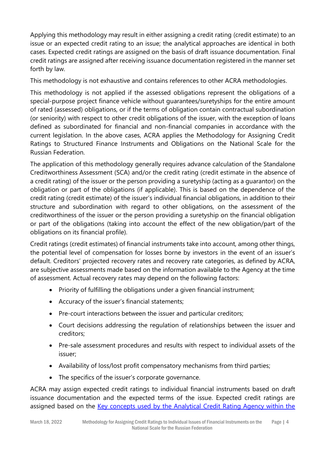Applying this methodology may result in either assigning a credit rating (credit estimate) to an issue or an expected credit rating to an issue; the analytical approaches are identical in both cases. Expected credit ratings are assigned on the basis of draft issuance documentation. Final credit ratings are assigned after receiving issuance documentation registered in the manner set forth by law.

This methodology is not exhaustive and contains references to other ACRA methodologies.

This methodology is not applied if the assessed obligations represent the obligations of a special-purpose project finance vehicle without guarantees/suretyships for the entire amount of rated (assessed) obligations, or if the terms of obligation contain contractual subordination (or seniority) with respect to other credit obligations of the issuer, with the exception of loans defined as subordinated for financial and non-financial companies in accordance with the current legislation. In the above cases, ACRA applies the Methodology for Assigning Credit Ratings to Structured Finance Instruments and Obligations on the National Scale for the Russian Federation.

The application of this methodology generally requires advance calculation of the Standalone Creditworthiness Assessment (SCA) and/or the credit rating (credit estimate in the absence of a credit rating) of the issuer or the person providing a suretyship (acting as a guarantor) on the obligation or part of the obligations (if applicable). This is based on the dependence of the credit rating (credit estimate) of the issuer's individual financial obligations, in addition to their structure and subordination with regard to other obligations, on the assessment of the creditworthiness of the issuer or the person providing a suretyship on the financial obligation or part of the obligations (taking into account the effect of the new obligation/part of the obligations on its financial profile).

Credit ratings (credit estimates) of financial instruments take into account, among other things, the potential level of compensation for losses borne by investors in the event of an issuer's default. Creditors' projected recovery rates and recovery rate categories, as defined by ACRA, are subjective assessments made based on the information available to the Agency at the time of assessment. Actual recovery rates may depend on the following factors:

- Priority of fulfilling the obligations under a given financial instrument;
- Accuracy of the issuer's financial statements;
- Pre-court interactions between the issuer and particular creditors;
- Court decisions addressing the regulation of relationships between the issuer and creditors;
- Pre-sale assessment procedures and results with respect to individual assets of the issuer;
- Availability of loss/lost profit compensatory mechanisms from third parties;
- The specifics of the issuer's corporate governance.

ACRA may assign expected credit ratings to individual financial instruments based on draft issuance documentation and the expected terms of the issue. Expected credit ratings are assigned based on the [Key concepts used by the Analytical Credit Rating Agency within the](https://www.acra-ratings.ru/criteria/80/?lang=en)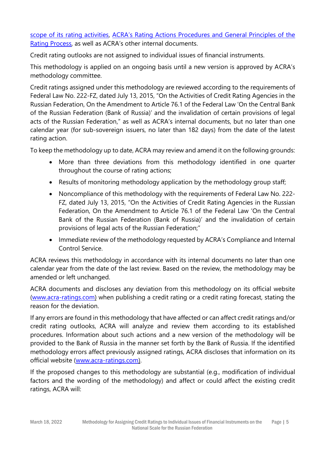[scope of its rating activities,](https://www.acra-ratings.ru/criteria/80/?lang=en) ACRA's Rating Actions Procedures and General Principles of the [Rating Process,](https://www.acra-ratings.ru/compliance/2260/) as well as ACRA's other internal documents.

Credit rating outlooks are not assigned to individual issues of financial instruments.

This methodology is applied on an ongoing basis until a new version is approved by ACRA's methodology committee.

Credit ratings assigned under this methodology are reviewed according to the requirements of Federal Law No. 222-FZ, dated July 13, 2015, "On the Activities of Credit Rating Agencies in the Russian Federation, On the Amendment to Article 76.1 of the Federal Law 'On the Central Bank of the Russian Federation (Bank of Russia)' and the invalidation of certain provisions of legal acts of the Russian Federation," as well as ACRA's internal documents, but no later than one calendar year (for sub-sovereign issuers, no later than 182 days) from the date of the latest rating action.

To keep the methodology up to date, ACRA may review and amend it on the following grounds:

- More than three deviations from this methodology identified in one quarter throughout the course of rating actions;
- Results of monitoring methodology application by the methodology group staff;
- Noncompliance of this methodology with the requirements of Federal Law No. 222- FZ, dated July 13, 2015, "On the Activities of Credit Rating Agencies in the Russian Federation, On the Amendment to Article 76.1 of the Federal Law 'On the Central Bank of the Russian Federation (Bank of Russia)' and the invalidation of certain provisions of legal acts of the Russian Federation;"
- Immediate review of the methodology requested by ACRA's Compliance and Internal Control Service.

ACRA reviews this methodology in accordance with its internal documents no later than one calendar year from the date of the last review. Based on the review, the methodology may be amended or left unchanged.

ACRA documents and discloses any deviation from this methodology on its official website [\(www.acra-ratings.com\)](https://www.acra-ratings.com/) when publishing a credit rating or a credit rating forecast, stating the reason for the deviation.

If any errors are found in this methodology that have affected or can affect credit ratings and/or credit rating outlooks, ACRA will analyze and review them according to its established procedures. Information about such actions and a new version of the methodology will be provided to the Bank of Russia in the manner set forth by the Bank of Russia. If the identified methodology errors affect previously assigned ratings, ACRA discloses that information on its official website [\(www.acra-ratings.com\)](http://www.acra-ratings.com/).

If the proposed changes to this methodology are substantial (e.g., modification of individual factors and the wording of the methodology) and affect or could affect the existing credit ratings, ACRA will: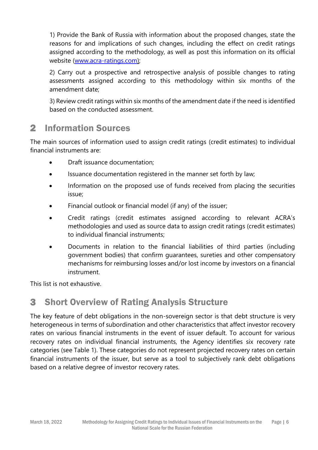1) Provide the Bank of Russia with information about the proposed changes, state the reasons for and implications of such changes, including the effect on credit ratings assigned according to the methodology, as well as post this information on its official website [\(www.acra-ratings.com\)](https://www.acra-ratings.com/);

2) Carry out a prospective and retrospective analysis of possible changes to rating assessments assigned according to this methodology within six months of the amendment date;

3) Review credit ratings within six months of the amendment date if the need is identified based on the conducted assessment.

# <span id="page-5-0"></span>2 Information Sources

The main sources of information used to assign credit ratings (credit estimates) to individual financial instruments are:

- Draft issuance documentation;
- Issuance documentation registered in the manner set forth by law;
- Information on the proposed use of funds received from placing the securities issue;
- Financial outlook or financial model (if any) of the issuer;
- Credit ratings (credit estimates assigned according to relevant ACRA's methodologies and used as source data to assign credit ratings (credit estimates) to individual financial instruments;
- Documents in relation to the financial liabilities of third parties (including government bodies) that confirm guarantees, sureties and other compensatory mechanisms for reimbursing losses and/or lost income by investors on a financial instrument.

This list is not exhaustive.

## <span id="page-5-1"></span>3 Short Overview of Rating Analysis Structure

The key feature of debt obligations in the non-sovereign sector is that debt structure is very heterogeneous in terms of subordination and other characteristics that affect investor recovery rates on various financial instruments in the event of issuer default. To account for various recovery rates on individual financial instruments, the Agency identifies six recovery rate categories (see Table 1). These categories do not represent projected recovery rates on certain financial instruments of the issuer, but serve as a tool to subjectively rank debt obligations based on a relative degree of investor recovery rates.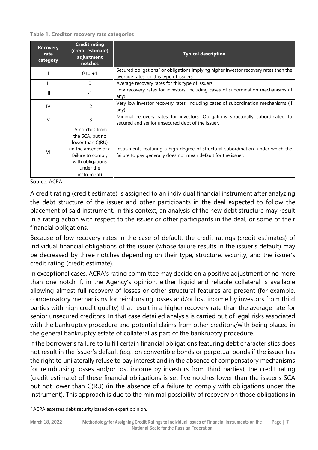**Table 1. Creditor recovery rate categories** 

| <b>Recovery</b><br>rate<br>category | <b>Credit rating</b><br>(credit estimate)<br>adjustment<br>notches                                                                                  | <b>Typical description</b>                                                                                                                         |
|-------------------------------------|-----------------------------------------------------------------------------------------------------------------------------------------------------|----------------------------------------------------------------------------------------------------------------------------------------------------|
|                                     | $0$ to $+1$                                                                                                                                         | Secured obligations <sup>2</sup> or obligations implying higher investor recovery rates than the<br>average rates for this type of issuers.        |
| Ш                                   | $\Omega$                                                                                                                                            | Average recovery rates for this type of issuers.                                                                                                   |
| III                                 | $-1$                                                                                                                                                | Low recovery rates for investors, including cases of subordination mechanisms (if<br>any).                                                         |
| IV                                  | $-2$                                                                                                                                                | Very low investor recovery rates, including cases of subordination mechanisms (if<br>any).                                                         |
| V                                   | $-3$                                                                                                                                                | Minimal recovery rates for investors. Obligations structurally subordinated to<br>secured and senior unsecured debt of the issuer.                 |
| VI                                  | -5 notches from<br>the SCA, but no<br>lower than C(RU)<br>(in the absence of a<br>failure to comply<br>with obligations<br>under the<br>instrument) | Instruments featuring a high degree of structural subordination, under which the<br>failure to pay generally does not mean default for the issuer. |

Source: ACRA

A credit rating (credit estimate) is assigned to an individual financial instrument after analyzing the debt structure of the issuer and other participants in the deal expected to follow the placement of said instrument. In this context, an analysis of the new debt structure may result in a rating action with respect to the issuer or other participants in the deal, or some of their financial obligations.

Because of low recovery rates in the case of default, the credit ratings (credit estimates) of individual financial obligations of the issuer (whose failure results in the issuer's default) may be decreased by three notches depending on their type, structure, security, and the issuer's credit rating (credit estimate).

In exceptional cases, ACRA's rating committee may decide on a positive adjustment of no more than one notch if, in the Agency's opinion, either liquid and reliable collateral is available allowing almost full recovery of losses or other structural features are present (for example, compensatory mechanisms for reimbursing losses and/or lost income by investors from third parties with high credit quality) that result in a higher recovery rate than the average rate for senior unsecured creditors. In that case detailed analysis is carried out of legal risks associated with the bankruptcy procedure and potential claims from other creditors/with being placed in the general bankruptcy estate of collateral as part of the bankruptcy procedure.

If the borrower's failure to fulfill certain financial obligations featuring debt characteristics does not result in the issuer's default (e.g., on convertible bonds or perpetual bonds if the issuer has the right to unilaterally refuse to pay interest and in the absence of compensatory mechanisms for reimbursing losses and/or lost income by investors from third parties), the credit rating (credit estimate) of these financial obligations is set five notches lower than the issuer's SCA but not lower than C(RU) (in the absence of a failure to comply with obligations under the instrument). This approach is due to the minimal possibility of recovery on those obligations in

<sup>&</sup>lt;sup>2</sup> ACRA assesses debt security based on expert opinion.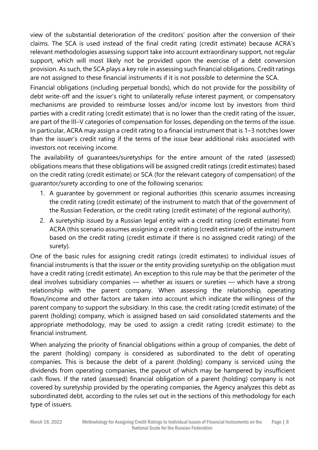view of the substantial deterioration of the creditors' position after the conversion of their claims. The SCA is used instead of the final credit rating (credit estimate) because ACRA's relevant methodologies assessing support take into account extraordinary support, not regular support, which will most likely not be provided upon the exercise of a debt conversion provision. As such, the SCA plays a key role in assessing such financial obligations. Credit ratings are not assigned to these financial instruments if it is not possible to determine the SCA.

Financial obligations (including perpetual bonds), which do not provide for the possibility of debt write-off and the issuer's right to unilaterally refuse interest payment, or compensatory mechanisms are provided to reimburse losses and/or income lost by investors from third parties with a credit rating (credit estimate) that is no lower than the credit rating of the issuer, are part of the III–V categories of compensation for losses, depending on the terms of the issue. In particular, ACRA may assign a credit rating to a financial instrument that is 1–3 notches lower than the issuer's credit rating if the terms of the issue bear additional risks associated with investors not receiving income.

The availability of guarantees/suretyships for the entire amount of the rated (assessed) obligations means that these obligations will be assigned credit ratings (credit estimates) based on the credit rating (credit estimate) or SCA (for the relevant category of compensation) of the guarantor/surety according to one of the following scenarios:

- 1. A guarantee by government or regional authorities (this scenario assumes increasing the credit rating (credit estimate) of the instrument to match that of the government of the Russian Federation, or the credit rating (credit estimate) of the regional authority).
- 2. A suretyship issued by a Russian legal entity with a credit rating (credit estimate) from ACRA (this scenario assumes assigning a credit rating (credit estimate) of the instrument based on the credit rating (credit estimate if there is no assigned credit rating) of the surety).

One of the basic rules for assigning credit ratings (credit estimates) to individual issues of financial instruments is that the issuer or the entity providing suretyship on the obligation must have a credit rating (credit estimate). An exception to this rule may be that the perimeter of the deal involves subsidiary companies — whether as issuers or sureties — which have a strong relationship with the parent company. When assessing the relationship, operating flows/income and other factors are taken into account which indicate the willingness of the parent company to support the subsidiary. In this case, the credit rating (credit estimate) of the parent (holding) company, which is assigned based on said consolidated statements and the appropriate methodology, may be used to assign a credit rating (credit estimate) to the financial instrument.

When analyzing the priority of financial obligations within a group of companies, the debt of the parent (holding) company is considered as subordinated to the debt of operating companies. This is because the debt of a parent (holding) company is serviced using the dividends from operating companies, the payout of which may be hampered by insufficient cash flows. If the rated (assessed) financial obligation of a parent (holding) company is not covered by suretyship provided by the operating companies, the Agency analyzes this debt as subordinated debt, according to the rules set out in the sections of this methodology for each type of issuers.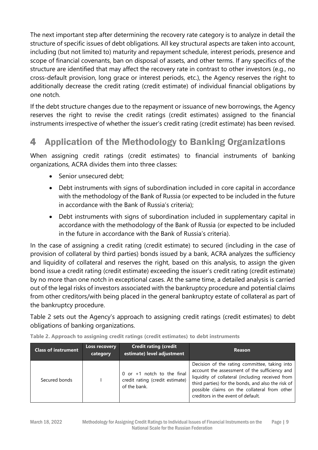The next important step after determining the recovery rate category is to analyze in detail the structure of specific issues of debt obligations. All key structural aspects are taken into account, including (but not limited to) maturity and repayment schedule, interest periods, presence and scope of financial covenants, ban on disposal of assets, and other terms. If any specifics of the structure are identified that may affect the recovery rate in contrast to other investors (e.g., no cross-default provision, long grace or interest periods, etc.), the Agency reserves the right to additionally decrease the credit rating (credit estimate) of individual financial obligations by one notch.

If the debt structure changes due to the repayment or issuance of new borrowings, the Agency reserves the right to revise the credit ratings (credit estimates) assigned to the financial instruments irrespective of whether the issuer's credit rating (credit estimate) has been revised.

# <span id="page-8-0"></span>4 Application of the Methodology to Banking Organizations

When assigning credit ratings (credit estimates) to financial instruments of banking organizations, ACRA divides them into three classes:

- Senior unsecured debt;
- Debt instruments with signs of subordination included in core capital in accordance with the methodology of the Bank of Russia (or expected to be included in the future in accordance with the Bank of Russia's criteria);
- Debt instruments with signs of subordination included in supplementary capital in accordance with the methodology of the Bank of Russia (or expected to be included in the future in accordance with the Bank of Russia's criteria).

In the case of assigning a credit rating (credit estimate) to secured (including in the case of provision of collateral by third parties) bonds issued by a bank, ACRA analyzes the sufficiency and liquidity of collateral and reserves the right, based on this analysis, to assign the given bond issue a credit rating (credit estimate) exceeding the issuer's credit rating (credit estimate) by no more than one notch in exceptional cases. At the same time, a detailed analysis is carried out of the legal risks of investors associated with the bankruptcy procedure and potential claims from other creditors/with being placed in the general bankruptcy estate of collateral as part of the bankruptcy procedure.

Table 2 sets out the Agency's approach to assigning credit ratings (credit estimates) to debt obligations of banking organizations.

| <b>Class of instrument</b> | Loss recovery<br>category | <b>Credit rating (credit</b><br>estimate) level adjustment                      | <b>Reason</b>                                                                                                                                                                                                                                                                                  |
|----------------------------|---------------------------|---------------------------------------------------------------------------------|------------------------------------------------------------------------------------------------------------------------------------------------------------------------------------------------------------------------------------------------------------------------------------------------|
| Secured bonds              |                           | 0 or $+1$ notch to the final<br>credit rating (credit estimate)<br>of the bank. | Decision of the rating committee, taking into<br>account the assessment of the sufficiency and<br>liquidity of collateral (including received from<br>third parties) for the bonds, and also the risk of<br>possible claims on the collateral from other<br>creditors in the event of default. |

**Table 2. Approach to assigning credit ratings (credit estimates) to debt instruments**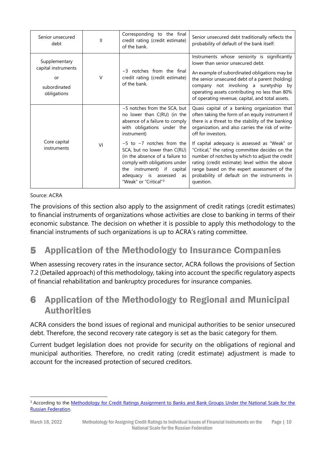| Senior unsecured<br>debt                                                  | Ш      | Corresponding to the final<br>credit rating (credit estimate)<br>of the bank.                                                                                                                                                                                                                                                                                                    | Senior unsecured debt traditionally reflects the<br>probability of default of the bank itself.                                                                                                                                                                                                                                                                                                                                                                                                                                                        |
|---------------------------------------------------------------------------|--------|----------------------------------------------------------------------------------------------------------------------------------------------------------------------------------------------------------------------------------------------------------------------------------------------------------------------------------------------------------------------------------|-------------------------------------------------------------------------------------------------------------------------------------------------------------------------------------------------------------------------------------------------------------------------------------------------------------------------------------------------------------------------------------------------------------------------------------------------------------------------------------------------------------------------------------------------------|
| Supplementary<br>capital instruments<br>or<br>subordinated<br>obligations | $\vee$ | $-3$ notches from the final<br>credit rating (credit estimate)<br>of the bank.                                                                                                                                                                                                                                                                                                   | Instruments whose seniority is significantly<br>lower than senior unsecured debt.<br>An example of subordinated obligations may be<br>the senior unsecured debt of a parent (holding)<br>company not involving a suretyship by<br>operating assets contributing no less than 80%<br>of operating revenue, capital, and total assets.                                                                                                                                                                                                                  |
| Core capital<br>instruments                                               | VI     | -5 notches from the SCA, but<br>no lower than C(RU) (in the<br>absence of a failure to comply<br>with obligations under the<br>instrument)<br>$-5$ to $-7$ notches from the<br>SCA, but no lower than C(RU)<br>(in the absence of a failure to<br>comply with obligations under<br>the instrument) if capital<br>adequacy is assessed<br>as<br>"Weak" or "Critical" <sup>3</sup> | Quasi capital of a banking organization that<br>often taking the form of an equity instrument if<br>there is a threat to the stability of the banking<br>organization, and also carries the risk of write-<br>off for investors.<br>If capital adequacy is assessed as "Weak" or<br>"Critical," the rating committee decides on the<br>number of notches by which to adjust the credit<br>rating (credit estimate) level within the above<br>range based on the expert assessment of the<br>probability of default on the instruments in<br>question. |

#### Source: ACRA

The provisions of this section also apply to the assignment of credit ratings (credit estimates) to financial instruments of organizations whose activities are close to banking in terms of their economic substance. The decision on whether it is possible to apply this methodology to the financial instruments of such organizations is up to ACRA's rating committee.

# <span id="page-9-0"></span>5 Application of the Methodology to Insurance Companies

When assessing recovery rates in the insurance sector, ACRA follows the provisions of Section 7.2 (Detailed approach) of this methodology, taking into account the specific regulatory aspects of financial rehabilitation and bankruptcy procedures for insurance companies.

## <span id="page-9-1"></span>6 Application of the Methodology to Regional and Municipal **Authorities**

ACRA considers the bond issues of regional and municipal authorities to be senior unsecured debt. Therefore, the second recovery rate category is set as the basic category for them.

Current budget legislation does not provide for security on the obligations of regional and municipal authorities. Therefore, no credit rating (credit estimate) adjustment is made to account for the increased protection of secured creditors.

<sup>&</sup>lt;sup>3</sup> According to the Methodology for Credit Ratings Assignment to Banks and Bank Groups Under the National Scale for the [Russian Federation.](https://www.acra-ratings.ru/criteria/382/?lang=en)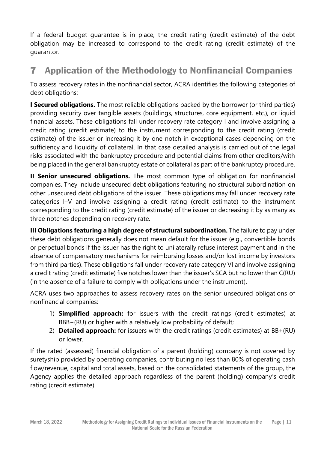If a federal budget guarantee is in place, the credit rating (credit estimate) of the debt obligation may be increased to correspond to the credit rating (credit estimate) of the guarantor.

# <span id="page-10-0"></span>7 Application of the Methodology to Nonfinancial Companies

To assess recovery rates in the nonfinancial sector, ACRA identifies the following categories of debt obligations:

**I Secured obligations.** The most reliable obligations backed by the borrower (or third parties) providing security over tangible assets (buildings, structures, core equipment, etc.), or liquid financial assets. These obligations fall under recovery rate category I and involve assigning a credit rating (credit estimate) to the instrument corresponding to the credit rating (credit estimate) of the issuer or increasing it by one notch in exceptional cases depending on the sufficiency and liquidity of collateral. In that case detailed analysis is carried out of the legal risks associated with the bankruptcy procedure and potential claims from other creditors/with being placed in the general bankruptcy estate of collateral as part of the bankruptcy procedure.

**II Senior unsecured obligations.** The most common type of obligation for nonfinancial companies. They include unsecured debt obligations featuring no structural subordination on other unsecured debt obligations of the issuer. These obligations may fall under recovery rate categories I–V and involve assigning a credit rating (credit estimate) to the instrument corresponding to the credit rating (credit estimate) of the issuer or decreasing it by as many as three notches depending on recovery rate.

**III Obligations featuring a high degree of structural subordination.** The failure to pay under these debt obligations generally does not mean default for the issuer (e.g., convertible bonds or perpetual bonds if the issuer has the right to unilaterally refuse interest payment and in the absence of compensatory mechanisms for reimbursing losses and/or lost income by investors from third parties). These obligations fall under recovery rate category VI and involve assigning a credit rating (credit estimate) five notches lower than the issuer's SCA but no lower than C(RU) (in the absence of a failure to comply with obligations under the instrument).

ACRA uses two approaches to assess recovery rates on the senior unsecured obligations of nonfinancial companies:

- 1) **Simplified approach:** for issuers with the credit ratings (credit estimates) at BBB−(RU) or higher with a relatively low probability of default;
- 2) **Detailed approach:** for issuers with the credit ratings (credit estimates) at BB+(RU) or lower.

If the rated (assessed) financial obligation of a parent (holding) company is not covered by suretyship provided by operating companies, contributing no less than 80% of operating cash flow/revenue, capital and total assets, based on the consolidated statements of the group, the Agency applies the detailed approach regardless of the parent (holding) company's credit rating (credit estimate).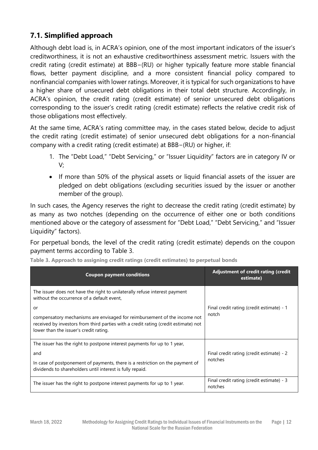## **7.1. Simplified approach**

Although debt load is, in ACRA's opinion, one of the most important indicators of the issuer's creditworthiness, it is not an exhaustive creditworthiness assessment metric. Issuers with the credit rating (credit estimate) at BBB−(RU) or higher typically feature more stable financial flows, better payment discipline, and a more consistent financial policy compared to nonfinancial companies with lower ratings. Moreover, it is typical for such organizations to have a higher share of unsecured debt obligations in their total debt structure. Accordingly, in ACRA's opinion, the credit rating (credit estimate) of senior unsecured debt obligations corresponding to the issuer's credit rating (credit estimate) reflects the relative credit risk of those obligations most effectively.

At the same time, ACRA's rating committee may, in the cases stated below, decide to adjust the credit rating (credit estimate) of senior unsecured debt obligations for a non-financial company with a credit rating (credit estimate) at BBB−(RU) or higher, if:

- 1. The "Debt Load," "Debt Servicing," or "Issuer Liquidity" factors are in category IV or V;
- If more than 50% of the physical assets or liquid financial assets of the issuer are pledged on debt obligations (excluding securities issued by the issuer or another member of the group).

In such cases, the Agency reserves the right to decrease the credit rating (credit estimate) by as many as two notches (depending on the occurrence of either one or both conditions mentioned above or the category of assessment for "Debt Load," "Debt Servicing," and "Issuer Liquidity" factors).

For perpetual bonds, the level of the credit rating (credit estimate) depends on the coupon payment terms according to Table 3.

| <b>Coupon payment conditions</b>                                                                                                                                                                                              | Adjustment of credit rating (credit<br>estimate)     |
|-------------------------------------------------------------------------------------------------------------------------------------------------------------------------------------------------------------------------------|------------------------------------------------------|
| The issuer does not have the right to unilaterally refuse interest payment<br>without the occurrence of a default event.                                                                                                      |                                                      |
| or<br>compensatory mechanisms are envisaged for reimbursement of the income not<br>received by investors from third parties with a credit rating (credit estimate) not<br>lower than the issuer's credit rating.              | Final credit rating (credit estimate) - 1<br>notch   |
| The issuer has the right to postpone interest payments for up to 1 year,<br>and<br>In case of postponement of payments, there is a restriction on the payment of<br>dividends to shareholders until interest is fully repaid. | Final credit rating (credit estimate) - 2<br>notches |
| The issuer has the right to postpone interest payments for up to 1 year.                                                                                                                                                      | Final credit rating (credit estimate) - 3<br>notches |

**Table 3. Approach to assigning credit ratings (credit estimates) to perpetual bonds**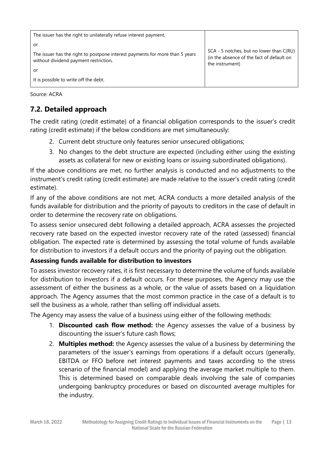```
The issuer has the right to unilaterally refuse interest payment,
or
The issuer has the right to postpone interest payments for more than 5 years 
without dividend payment restriction,
or
It is possible to write off the debt.
                                                                                     SCA - 5 notches, but no lower than C(RU) 
                                                                                     (in the absence of the fact of default on 
                                                                                     the instrument)
```
Source: ACRA

## **7.2. Detailed approach**

The credit rating (credit estimate) of a financial obligation corresponds to the issuer's credit rating (credit estimate) if the below conditions are met simultaneously:

- 2. Current debt structure only features senior unsecured obligations;
- 3. No changes to the debt structure are expected (including either using the existing assets as collateral for new or existing loans or issuing subordinated obligations).

If the above conditions are met, no further analysis is conducted and no adjustments to the instrument's credit rating (credit estimate) are made relative to the issuer's credit rating (credit estimate).

If any of the above conditions are not met, ACRA conducts a more detailed analysis of the funds available for distribution and the priority of payouts to creditors in the case of default in order to determine the recovery rate on obligations.

To assess senior unsecured debt following a detailed approach, ACRA assesses the projected recovery rate based on the expected investor recovery rate of the rated (assessed) financial obligation. The expected rate is determined by assessing the total volume of funds available for distribution to investors if a default occurs and the priority of paying out the obligation.

### **Assessing funds available for distribution to investors**

To assess investor recovery rates, it is first necessary to determine the volume of funds available for distribution to investors if a default occurs. For these purposes, the Agency may use the assessment of either the business as a whole, or the value of assets based on a liquidation approach. The Agency assumes that the most common practice in the case of a default is to sell the business as a whole, rather than selling off individual assets.

The Agency may assess the value of a business using either of the following methods:

- 1. **Discounted cash flow method:** the Agency assesses the value of a business by discounting the issuer's future cash flows;
- 2. **Multiples method:** the Agency assesses the value of a business by determining the parameters of the issuer's earnings from operations if a default occurs (generally, EBITDA or FFO before net interest payments and taxes according to the stress scenario of the financial model) and applying the average market multiple to them. This is determined based on comparable deals involving the sale of companies undergoing bankruptcy procedures or based on discounted average multiples for the industry.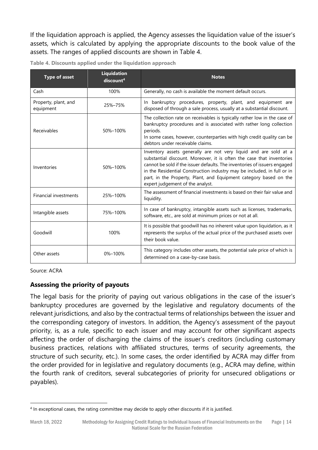If the liquidation approach is applied, the Agency assesses the liquidation value of the issuer's assets, which is calculated by applying the appropriate discounts to the book value of the assets. The ranges of applied discounts are shown in Table 4.

| <b>Type of asset</b>              | <b>Liquidation</b><br>discount <sup>4</sup> | <b>Notes</b>                                                                                                                                                                                                                                                                                                                                                                                               |
|-----------------------------------|---------------------------------------------|------------------------------------------------------------------------------------------------------------------------------------------------------------------------------------------------------------------------------------------------------------------------------------------------------------------------------------------------------------------------------------------------------------|
| Cash                              | 100%                                        | Generally, no cash is available the moment default occurs.                                                                                                                                                                                                                                                                                                                                                 |
| Property, plant, and<br>equipment | 25%-75%                                     | In bankruptcy procedures, property, plant, and equipment are<br>disposed of through a sale process, usually at a substantial discount.                                                                                                                                                                                                                                                                     |
| Receivables                       | 50%-100%                                    | The collection rate on receivables is typically rather low in the case of<br>bankruptcy procedures and is associated with rather long collection<br>periods.<br>In some cases, however, counterparties with high credit quality can be<br>debtors under receivable claims.                                                                                                                                 |
| Inventories                       | 50%-100%                                    | Inventory assets generally are not very liquid and are sold at a<br>substantial discount. Moreover, it is often the case that inventories<br>cannot be sold if the issuer defaults. The inventories of issuers engaged<br>in the Residential Construction industry may be included, in full or in<br>part, in the Property, Plant, and Equipment category based on the<br>expert judgement of the analyst. |
| <b>Financial investments</b>      | 25%-100%                                    | The assessment of financial investments is based on their fair value and<br>liquidity.                                                                                                                                                                                                                                                                                                                     |
| Intangible assets                 | 75%-100%                                    | In case of bankruptcy, intangible assets such as licenses, trademarks,<br>software, etc., are sold at minimum prices or not at all.                                                                                                                                                                                                                                                                        |
| Goodwill                          | 100%                                        | It is possible that goodwill has no inherent value upon liquidation, as it<br>represents the surplus of the actual price of the purchased assets over<br>their book value.                                                                                                                                                                                                                                 |
| Other assets                      | 0%-100%                                     | This category includes other assets, the potential sale price of which is<br>determined on a case-by-case basis.                                                                                                                                                                                                                                                                                           |

| Table 4. Discounts applied under the liquidation approach |
|-----------------------------------------------------------|
|-----------------------------------------------------------|

Source: ACRA

### **Assessing the priority of payouts**

The legal basis for the priority of paying out various obligations in the case of the issuer's bankruptcy procedures are governed by the legislative and regulatory documents of the relevant jurisdictions, and also by the contractual terms of relationships between the issuer and the corresponding category of investors. In addition, the Agency's assessment of the payout priority, is, as a rule, specific to each issuer and may account for other significant aspects affecting the order of discharging the claims of the issuer's creditors (including customary business practices, relations with affiliated structures, terms of security agreements, the structure of such security, etc.). In some cases, the order identified by ACRA may differ from the order provided for in legislative and regulatory documents (e.g., ACRA may define, within the fourth rank of creditors, several subcategories of priority for unsecured obligations or payables).

<sup>4</sup> In exceptional cases, the rating committee may decide to apply other discounts if it is justified.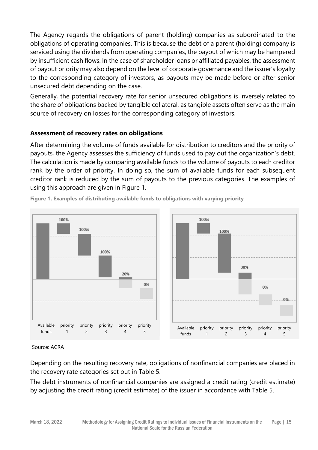The Agency regards the obligations of parent (holding) companies as subordinated to the obligations of operating companies. This is because the debt of a parent (holding) company is serviced using the dividends from operating companies, the payout of which may be hampered by insufficient cash flows. In the case of shareholder loans or affiliated payables, the assessment of payout priority may also depend on the level of corporate governance and the issuer's loyalty to the corresponding category of investors, as payouts may be made before or after senior unsecured debt depending on the case.

Generally, the potential recovery rate for senior unsecured obligations is inversely related to the share of obligations backed by tangible collateral, as tangible assets often serve as the main source of recovery on losses for the corresponding category of investors.

### **Assessment of recovery rates on obligations**

After determining the volume of funds available for distribution to creditors and the priority of payouts, the Agency assesses the sufficiency of funds used to pay out the organization's debt. The calculation is made by comparing available funds to the volume of payouts to each creditor rank by the order of priority. In doing so, the sum of available funds for each subsequent creditor rank is reduced by the sum of payouts to the previous categories. The examples of using this approach are given in Figure 1.



**Figure 1. Examples of distributing available funds to obligations with varying priority**

#### Source: ACRA

Depending on the resulting recovery rate, obligations of nonfinancial companies are placed in the recovery rate categories set out in Table 5.

The debt instruments of nonfinancial companies are assigned a credit rating (credit estimate) by adjusting the credit rating (credit estimate) of the issuer in accordance with Table 5.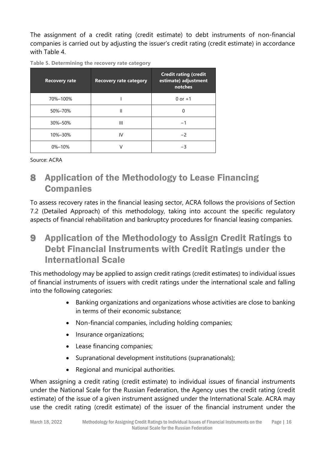The assignment of a credit rating (credit estimate) to debt instruments of non-financial companies is carried out by adjusting the issuer's credit rating (credit estimate) in accordance with Table 4.

**Table 5. Determining the recovery rate category** 

| <b>Recovery rate</b> | <b>Recovery rate category</b> | <b>Credit rating (credit</b><br>estimate) adjustment<br>notches |
|----------------------|-------------------------------|-----------------------------------------------------------------|
| 70%-100%             |                               | $0$ or $+1$                                                     |
| 50%-70%              | Ш                             |                                                                 |
| 30%-50%              | Ш                             | - 1                                                             |
| 10%-30%              | IV                            | $-2$                                                            |
| 0%-10%               |                               |                                                                 |

Source: ACRA

# <span id="page-15-0"></span>8 Application of the Methodology to Lease Financing **Companies**

To assess recovery rates in the financial leasing sector, ACRA follows the provisions of Section 7.2 (Detailed Approach) of this methodology, taking into account the specific regulatory aspects of financial rehabilitation and bankruptcy procedures for financial leasing companies.

# <span id="page-15-1"></span>9 Application of the Methodology to Assign Credit Ratings to Debt Financial Instruments with Credit Ratings under the International Scale

This methodology may be applied to assign credit ratings (credit estimates) to individual issues of financial instruments of issuers with credit ratings under the international scale and falling into the following categories:

- Banking organizations and organizations whose activities are close to banking in terms of their economic substance;
- Non-financial companies, including holding companies;
- Insurance organizations;
- Lease financing companies;
- Supranational development institutions (supranationals);
- Regional and municipal authorities.

When assigning a credit rating (credit estimate) to individual issues of financial instruments under the National Scale for the Russian Federation, the Agency uses the credit rating (credit estimate) of the issue of a given instrument assigned under the International Scale. ACRA may use the credit rating (credit estimate) of the issuer of the financial instrument under the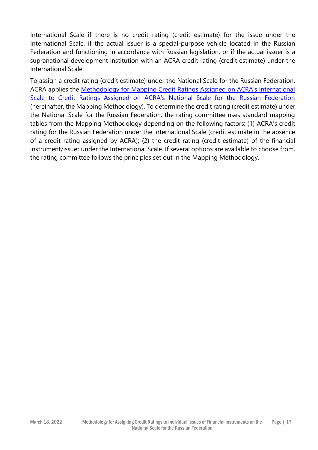International Scale if there is no credit rating (credit estimate) for the issue under the International Scale, if the actual issuer is a special-purpose vehicle located in the Russian Federation and functioning in accordance with Russian legislation, or if the actual issuer is a supranational development institution with an ACRA credit rating (credit estimate) under the International Scale.

To assign a credit rating (credit estimate) under the National Scale for the Russian Federation, ACRA applies the [Methodology for Mapping Credit Ratings Assigned on ACRA's International](https://www.acra-ratings.ru/criteria/951/?lang=en)  [Scale to Credit Ratings Assigned on ACRA's National Scale for the Russian Federation](https://www.acra-ratings.ru/criteria/951/?lang=en) (hereinafter, the Mapping Methodology). To determine the credit rating (credit estimate) under the National Scale for the Russian Federation, the rating committee uses standard mapping tables from the Mapping Methodology depending on the following factors: (1) ACRA's credit rating for the Russian Federation under the International Scale (credit estimate in the absence of a credit rating assigned by ACRA); (2) the credit rating (credit estimate) of the financial instrument/issuer under the International Scale. If several options are available to choose from, the rating committee follows the principles set out in the Mapping Methodology.